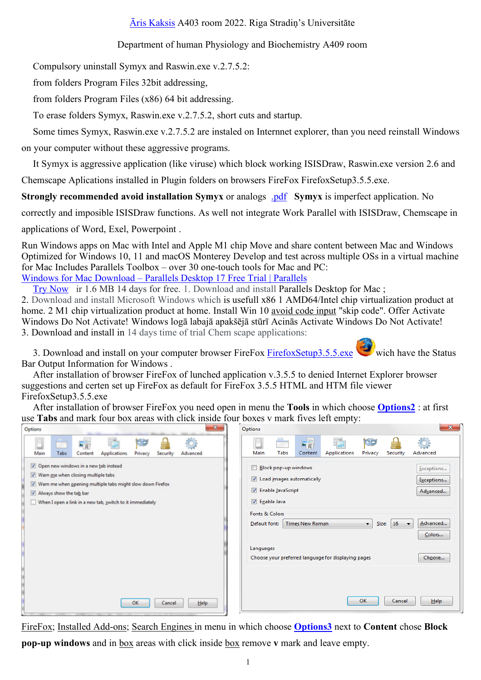## Āris Kaksis A403 room 2022. Riga Stradin's Universitāte

## Department of human Physiology and Biochemistry A409 room

Compulsory uninstall Symyx and Raswin.exe v.2.7.5.2:

from folders Program Files 32bit addressing,

from folders Program Files (x86) 64 bit addressing.

To erase folders Symyx, Raswin.exe v.2.7.5.2, short cuts and startup.

Some times Symyx, Raswin.exe v.2.7.5.2 are instaled on Internnet explorer, than you need reinstall Windows

on your computer without these aggressive programs.

It Symyx is aggressive application (like viruse) which block working ISISDraw, Raswin, exe version 2.6 and

Chemscape Aplications installed in Plugin folders on browsers FireFox FirefoxSetup3.5.5.exe.

**Strongly recommended avoid installation Symyx** or analogs .pdf Symyx is imperfect application. No

correctly and imposible ISISDraw functions. As well not integrate Work Parallel with ISISDraw, Chemscape in

applications of Word, Exel, Powerpoint.

Run Windows apps on Mac with Intel and Apple M1 chip Move and share content between Mac and Windows Optimized for Windows 10, 11 and macOS Monterey Develop and test across multiple OSs in a virtual machine for Mac Includes Parallels Toolbox – over 30 one-touch tools for Mac and PC: Windows for Mac Download - Parallels Desktop 17 Free Trial | Parallels

Try Now ir 1.6 MB 14 days for free, 1. Download and install Parallels Desktop for Mac:

2. Download and install Microsoft Windows which is usefull x86 1 AMD64/Intel chip virtualization product at home. 2 M1 chip virtualization product at home. Install Win 10 avoid code input "skip code". Offer Activate Windows Do Not Activate! Windows logā labajā apakšējā stūrī Acinās Activate Windows Do Not Activate! 3. Download and install in 14 days time of trial Chem scape applications:

3. Download and install on your computer browser FireFox FirefoxSetup3.5.5.exe wich have the Status Bar Output Information for Windows.

After installation of browser FireFox of lunched application v.3.5.5 to denied Internet Explorer browser suggestions and certen set up FireFox as default for FireFox 3.5.5 HTML and HTM file viewer FirefoxSetup3.5.5.exe

After installation of browser FireFox you need open in menu the **Tools** in which choose **Options2**: at first use **Tabs** and mark four box areas with click inside four boxes v mark fives left empty:

| $\mathbf{z}$<br>Options                                                                                                                                                                                                               | $\sim$<br>Options                                                                                                                                                                                                                                                                                          | $-\mathbf{x}$                                                        |
|---------------------------------------------------------------------------------------------------------------------------------------------------------------------------------------------------------------------------------------|------------------------------------------------------------------------------------------------------------------------------------------------------------------------------------------------------------------------------------------------------------------------------------------------------------|----------------------------------------------------------------------|
| <b>Fig</b><br>Main<br>Tabs<br><b>Applications</b><br>Privacy<br>Advanced<br>Content<br>Security                                                                                                                                       | T.<br><b>OD</b><br>雨<br>Main<br>Tabs<br>Content<br><b>Applications</b><br>Privacy<br>Security                                                                                                                                                                                                              | Ö<br>Advanced                                                        |
| Open new windows in a new tab instead<br>V Warn me when closing multiple tabs<br>V Warn me when gpening multiple tabs might slow down Firefox<br>Always show the tab bar<br>When I open a link in a new tab, switch to it immediately | <b>Block pop-up windows</b><br>Load images automatically<br><b>D</b> Enable JavaScript<br><b>Enable Java</b><br>Fonts & Colors<br><b>Times New Roman</b><br>16<br>Default font:<br>$\blacksquare$<br>Size:<br>$\overline{\phantom{a}}$<br>Languages<br>Choose your preferred language for displaying pages | Exceptions<br>Exceptions<br>Advanced<br>Advanced<br>Colors<br>Choose |
| OK<br>Help<br>Cancel                                                                                                                                                                                                                  | OK<br>Cancel                                                                                                                                                                                                                                                                                               | $He$ lp                                                              |

FireFox; Installed Add-ons; Search Engines in menu in which choose Options3 next to Content chose Block **pop-up windows** and in box areas with click inside box remove v mark and leave empty.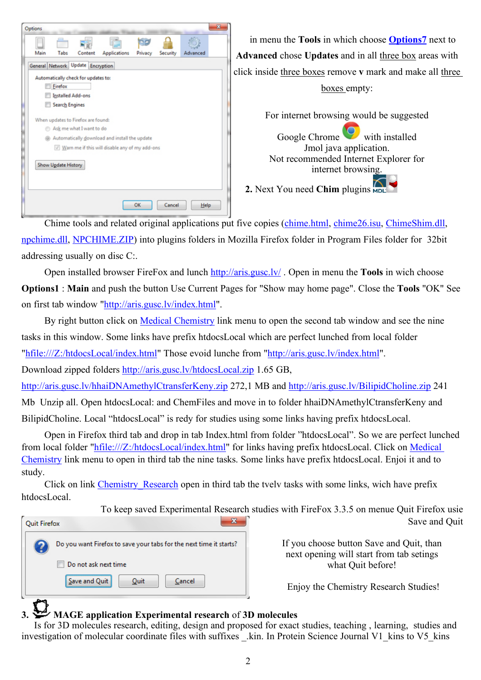

Chime tools and related original applications put five copies (chime.html, chime26.isu, ChimeShim.dll, npchime.dll, NPCHIME.ZIP) into plugins folders in Mozilla Firefox folder in Program Files folder for 32bit addressing usually on disc C:.

Open installed browser FireFox and lunch http://aris.gusc.lv/ . Open in menu the **Tools** in wich choose **Options1** : **Main** and push the button Use Current Pages for "Show may home page". Close the **Tools** "OK" See on first tab window "http://aris.gusc.lv/index.html".

By right button click on Medical Chemistry link menu to open the second tab window and see the nine tasks in this window. Some links have prefix htdocsLocal which are perfect lunched from local folder

"hfile:///Z:/htdocsLocal/index.html" Those evoid lunche from "http://aris.gusc.lv/index.html".

Download zipped folders http://aris.gusc.lv/htdocsLocal.zip 1.65 GB,

http://aris.gusc.lv/hhaiDNAmethylCtransferKeny.zip 272,1 MB and http://aris.gusc.lv/BilipidCholine.zip 241

Mb Unzip all. Open htdocsLocal: and ChemFiles and move in to folder hhaiDNAmethylCtransferKeny and

BilipidCholine. Local "htdocsLocal" is redy for studies using some links having prefix htdocsLocal.

Open in Firefox third tab and drop in tab Index.html from folder "htdocsLocal". So we are perfect lunched from local folder "hfile:///Z:/htdocsLocal/index.html" for links having prefix htdocsLocal. Click on Medical Chemistry link menu to open in third tab the nine tasks. Some links have prefix htdocsLocal. Enjoi it and to study.

Click on link Chemistry Research open in third tab the tvelv tasks with some links, wich have prefix htdocsLocal.

To keep saved Experimental Research studies with FireFox 3.3.5 on menue Quit Firefox usie

**Quit Firefox** Do you want Firefox to save your tabs for the next time it starts? Do not ask next time Save and Quit Quit Cancel

If you choose button Save and Quit, than next opening will start from tab setings what Quit before!

Save and Quit

Enjoy the Chemistry Research Studies!

## **3. MAGE application Experimental research** of **3D molecules**

 Is for 3D molecules research, editing, design and proposed for exact studies, teaching , learning, studies and investigation of molecular coordinate files with suffixes kin. In Protein Science Journal V1 kins to V5 kins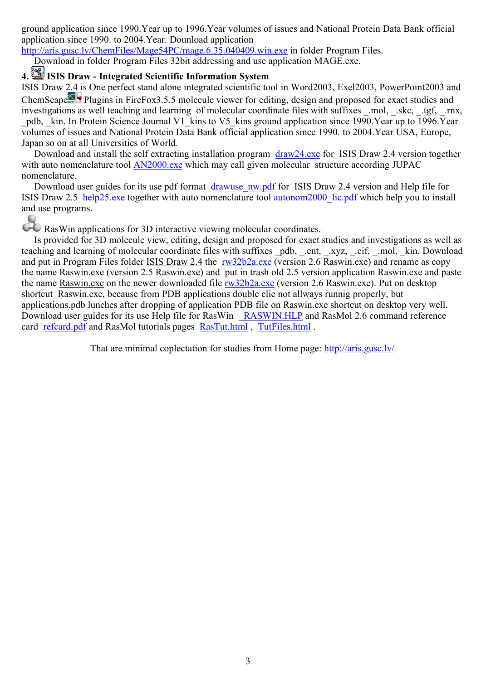ground application since 1990.Year up to 1996.Year volumes of issues and National Protein Data Bank official application since 1990. to 2004.Year. Dounload application

http://aris.gusc.lv/ChemFiles/Mage54PC/mage.6.35.040409.win.exe in folder Program Files.

Download in folder Program Files 32bit addressing and use application MAGE.exe.

## **4. ISIS Draw - Integrated Scientific Information System**

ISIS Draw 2.4 is One perfect stand alone integrated scientific tool in Word2003, Exel2003, PowerPoint2003 and ChemScape Plugins in FireFox3.5.5 molecule viewer for editing, design and proposed for exact studies and investigations as well teaching and learning of molecular coordinate files with suffixes .mol, .skc, .tgf, .rnx, \_pdb, \_kin. In Protein Science Journal V1\_kins to V5\_kins ground application since 1990.Year up to 1996.Year volumes of issues and National Protein Data Bank official application since 1990. to 2004.Year USA, Europe, Japan so on at all Universities of World.

Download and install the self extracting installation program draw24.exe for ISIS Draw 2.4 version together with auto nomenclature tool AN2000 exe which may call given molecular structure according JUPAC nomenclature.

Download user guides for its use pdf format drawuse nw.pdf for ISIS Draw 2.4 version and Help file for ISIS Draw 2.5 help25.exe together with auto nomenclature tool autonom2000\_lic.pdf which help you to install and use programs.

RasWin applications for 3D interactive viewing molecular coordinates.

 Is provided for 3D molecule view, editing, design and proposed for exact studies and investigations as well as teaching and learning of molecular coordinate files with suffixes pdb, .ent, .xyz, .cif, .mol, kin. Download and put in Program Files folder ISIS Draw 2.4 the rw32b2a.exe (version 2.6 Raswin.exe) and rename as copy the name Raswin.exe (version 2.5 Raswin.exe) and put in trash old 2.5 version application Raswin.exe and paste the name Raswin.exe on the newer downloaded file rw32b2a.exe (version 2.6 Raswin.exe). Put on desktop shortcut Raswin.exe, because from PDB applications double clic not allways runnig properly, but applications.pdb lunches after dropping of application PDB file on Raswin.exe shortcut on desktop very well. Download user guides for its use Help file for RasWin RASWIN.HLP and RasMol 2.6 command reference card refcard.pdf and RasMol tutorials pages RasTut.html , TutFiles.html .

That are minimal coplectation for studies from Home page: http://aris.gusc.lv/